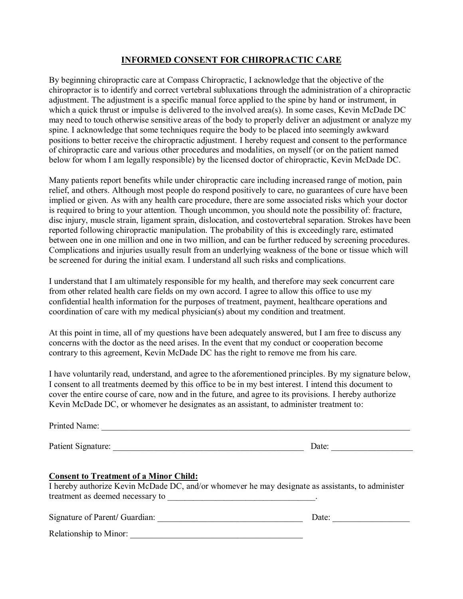#### **INFORMED CONSENT FOR CHIROPRACTIC CARE**

By beginning chiropractic care at Compass Chiropractic, I acknowledge that the objective of the chiropractor is to identify and correct vertebral subluxations through the administration of a chiropractic adjustment. The adjustment is a specific manual force applied to the spine by hand or instrument, in which a quick thrust or impulse is delivered to the involved area(s). In some cases, Kevin McDade DC may need to touch otherwise sensitive areas of the body to properly deliver an adjustment or analyze my spine. I acknowledge that some techniques require the body to be placed into seemingly awkward positions to better receive the chiropractic adjustment. I hereby request and consent to the performance of chiropractic care and various other procedures and modalities, on myself (or on the patient named below for whom I am legally responsible) by the licensed doctor of chiropractic, Kevin McDade DC.

Many patients report benefits while under chiropractic care including increased range of motion, pain relief, and others. Although most people do respond positively to care, no guarantees of cure have been implied or given. As with any health care procedure, there are some associated risks which your doctor is required to bring to your attention. Though uncommon, you should note the possibility of: fracture, disc injury, muscle strain, ligament sprain, dislocation, and costovertebral separation. Strokes have been reported following chiropractic manipulation. The probability of this is exceedingly rare, estimated between one in one million and one in two million, and can be further reduced by screening procedures. Complications and injuries usually result from an underlying weakness of the bone or tissue which will be screened for during the initial exam. I understand all such risks and complications.

I understand that I am ultimately responsible for my health, and therefore may seek concurrent care from other related health care fields on my own accord. I agree to allow this office to use my confidential health information for the purposes of treatment, payment, healthcare operations and coordination of care with my medical physician(s) about my condition and treatment.

At this point in time, all of my questions have been adequately answered, but I am free to discuss any concerns with the doctor as the need arises. In the event that my conduct or cooperation become contrary to this agreement, Kevin McDade DC has the right to remove me from his care.

I have voluntarily read, understand, and agree to the aforementioned principles. By my signature below, I consent to all treatments deemed by this office to be in my best interest. I intend this document to cover the entire course of care, now and in the future, and agree to its provisions. I hereby authorize Kevin McDade DC, or whomever he designates as an assistant, to administer treatment to:

| Printed Name:                                 |                                                                                                   |
|-----------------------------------------------|---------------------------------------------------------------------------------------------------|
|                                               | Date:                                                                                             |
| <b>Consent to Treatment of a Minor Child:</b> | I hereby authorize Kevin McDade DC, and/or whomever he may designate as assistants, to administer |
|                                               | Date:                                                                                             |
| Relationship to Minor:                        |                                                                                                   |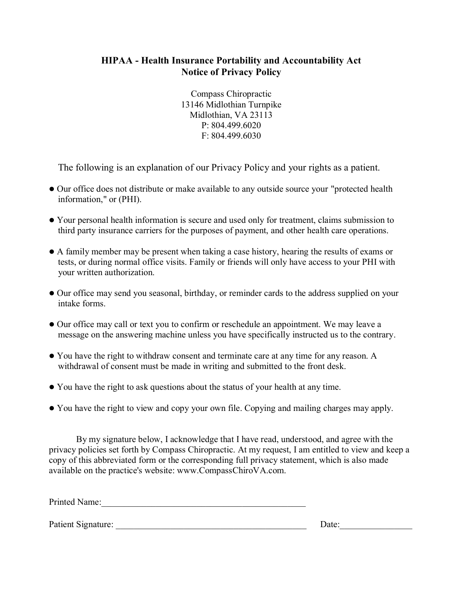### **HIPAA - Health Insurance Portability and Accountability Act Notice of Privacy Policy**

Compass Chiropractic 13146 Midlothian Turnpike Midlothian, VA 23113 P: 804.499.6020 F: 804.499.6030

The following is an explanation of our Privacy Policy and your rights as a patient.

- ⚫ Our office does not distribute or make available to any outside source your "protected health information," or (PHI).
- ⚫ Your personal health information is secure and used only for treatment, claims submission to third party insurance carriers for the purposes of payment, and other health care operations.
- ⚫ A family member may be present when taking a case history, hearing the results of exams or tests, or during normal office visits. Family or friends will only have access to your PHI with your written authorization.
- ⚫ Our office may send you seasonal, birthday, or reminder cards to the address supplied on your intake forms.
- ⚫ Our office may call or text you to confirm or reschedule an appointment. We may leave a message on the answering machine unless you have specifically instructed us to the contrary.
- ⚫ You have the right to withdraw consent and terminate care at any time for any reason. A withdrawal of consent must be made in writing and submitted to the front desk.
- ⚫ You have the right to ask questions about the status of your health at any time.
- ⚫ You have the right to view and copy your own file. Copying and mailing charges may apply.

By my signature below, I acknowledge that I have read, understood, and agree with the privacy policies set forth by Compass Chiropractic. At my request, I am entitled to view and keep a copy of this abbreviated form or the corresponding full privacy statement, which is also made available on the practice's website: www.CompassChiroVA.com.

Printed Name:\_\_\_\_\_\_\_\_\_\_\_\_\_\_\_\_\_\_\_\_\_\_\_\_\_\_\_\_\_\_\_\_\_\_\_\_\_\_\_\_\_\_\_\_\_

Patient Signature: \_\_\_\_\_\_\_\_\_\_\_\_\_\_\_\_\_\_\_\_\_\_\_\_\_\_\_\_\_\_\_\_\_\_\_\_\_\_\_\_\_\_ Date:\_\_\_\_\_\_\_\_\_\_\_\_\_\_\_\_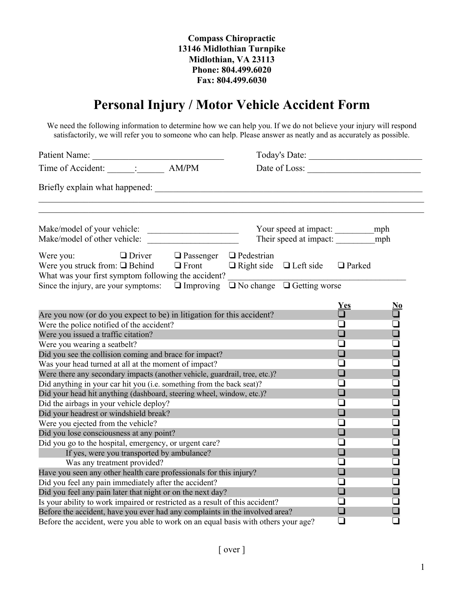# **Personal Injury / Motor Vehicle Accident Form**

We need the following information to determine how we can help you. If we do not believe your injury will respond satisfactorily, we will refer you to someone who can help. Please answer as neatly and as accurately as possible.

| Time of Accident: ______: _______ AM/PM                                                                                                                                                                                                           |              |                                    | Date of Loss:                          |                                                                                     |                                                  |  |
|---------------------------------------------------------------------------------------------------------------------------------------------------------------------------------------------------------------------------------------------------|--------------|------------------------------------|----------------------------------------|-------------------------------------------------------------------------------------|--------------------------------------------------|--|
| Briefly explain what happened: North and the state of the state of the state of the state of the state of the state of the state of the state of the state of the state of the state of the state of the state of the state of                    |              |                                    |                                        |                                                                                     |                                                  |  |
| Make/model of your vehicle:                                                                                                                                                                                                                       |              |                                    | Their speed at impact: ___________ mph |                                                                                     |                                                  |  |
| $\Box$ Driver<br>Were you:<br>Were you struck from: $\Box$ Behind<br>What was your first symptom following the accident?<br>Since the injury, are your symptoms: $\Box$ Improving $\Box$ No change $\Box$ Getting worse                           | $\Box$ Front | $\Box$ Passenger $\Box$ Pedestrian | $\Box$ Right side $\Box$ Left side     | □ Parked                                                                            |                                                  |  |
| Are you now (or do you expect to be) in litigation for this accident?<br>Were the police notified of the accident?<br>Were you issued a traffic citation?                                                                                         |              |                                    |                                        | Yes<br>$\Box$<br>❏<br>$\Box$                                                        | $\frac{\text{No}}{\Box}$<br>$\overline{\square}$ |  |
| Were you wearing a seatbelt?<br>Did you see the collision coming and brace for impact?<br>Was your head turned at all at the moment of impact?                                                                                                    |              |                                    |                                        | $\Box$<br>$\Box$<br>ப                                                               | Ō<br>O<br>$\bar{\mathbf{Q}}$                     |  |
| Were there any secondary impacts (another vehicle, guardrail, tree, etc.)?<br>Did anything in your car hit you (i.e. something from the back seat)?<br>Did your head hit anything (dashboard, steering wheel, window, etc.)?                      |              |                                    |                                        | $\Box$<br>∩<br>$\Box$                                                               | $\Box$<br>$\frac{\square}{\square}$              |  |
| Did the airbags in your vehicle deploy?<br>Did your headrest or windshield break?<br>Were you ejected from the vehicle?                                                                                                                           |              |                                    | $\Box$<br>$\Box$<br>❏                  | $\Box$                                                                              |                                                  |  |
| Did you lose consciousness at any point?<br>Did you go to the hospital, emergency, or urgent care?<br>If yes, were you transported by ambulance?<br>Was any treatment provided?                                                                   |              |                                    | $\Box$<br>ப<br>$\Box$<br>$\Box$        | $\Box$<br>$\overline{\square}$<br>$\begin{array}{c} \square \\ \square \end{array}$ |                                                  |  |
| Have you seen any other health care professionals for this injury?<br>Did you feel any pain immediately after the accident?<br>Did you feel any pain later that night or on the next day?                                                         |              |                                    | ❏<br>❏<br>$\Box$                       | $\Box$<br>$\overline{\square}$<br>$\Box$                                            |                                                  |  |
| Is your ability to work impaired or restricted as a result of this accident?<br>Before the accident, have you ever had any complaints in the involved area?<br>Before the accident, were you able to work on an equal basis with others your age? |              |                                    |                                        | $\Box$<br>$\Box$<br>$\Box$                                                          | $\overline{\square}$<br>$\Box$                   |  |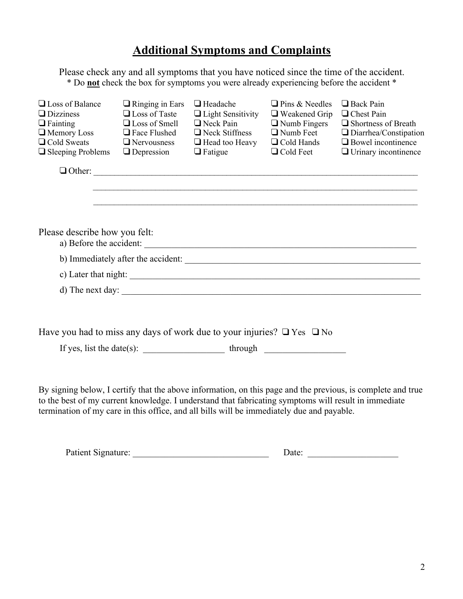## **Additional Symptoms and Complaints**

Please check any and all symptoms that you have noticed since the time of the accident. \* Do **not** check the box for symptoms you were already experiencing before the accident \*

| $\Box$ Loss of Balance<br>$\Box$ Dizziness                                       | $\Box$ Ringing in Ears<br>$\Box$ Loss of Taste | $\Box$ Headache<br>$\Box$ Light Sensitivity | $\Box$ Pins & Needles<br>$\Box$ Weakened Grip | Back Pain<br>□ Chest Pain          |
|----------------------------------------------------------------------------------|------------------------------------------------|---------------------------------------------|-----------------------------------------------|------------------------------------|
| $\Box$ Fainting                                                                  | $\Box$ Loss of Smell                           | $\Box$ Neck Pain                            | $\Box$ Numb Fingers                           | $\Box$ Shortness of Breath         |
| $\Box$ Memory Loss                                                               | $\Box$ Face Flushed                            | $\Box$ Neck Stiffness                       | $\Box$ Numb Feet                              | $\Box$ Diarrhea/Constipation       |
| $\Box$ Cold Sweats                                                               | $\Box$ Nervousness                             | $\Box$ Head too Heavy                       | $\Box$ Cold Hands                             | $\Box$ Bowel incontinence          |
| $\Box$ Sleeping Problems                                                         | $\Box$ Depression                              | $\Box$ Fatigue                              | $\Box$ Cold Feet                              | $\Box$ Urinary incontinence        |
|                                                                                  |                                                |                                             |                                               |                                    |
|                                                                                  |                                                |                                             |                                               |                                    |
|                                                                                  |                                                |                                             |                                               |                                    |
|                                                                                  |                                                |                                             |                                               |                                    |
| Please describe how you felt:                                                    |                                                |                                             |                                               |                                    |
|                                                                                  |                                                | a) Before the accident:                     |                                               |                                    |
|                                                                                  |                                                |                                             |                                               | b) Immediately after the accident: |
|                                                                                  |                                                |                                             |                                               |                                    |
|                                                                                  |                                                | d) The next day:                            |                                               |                                    |
|                                                                                  |                                                |                                             |                                               |                                    |
|                                                                                  |                                                |                                             |                                               |                                    |
| Have you had to miss any days of work due to your injuries? $\Box$ Yes $\Box$ No |                                                |                                             |                                               |                                    |

If yes, list the date(s):  $\qquad \qquad$  through

By signing below, I certify that the above information, on this page and the previous, is complete and true to the best of my current knowledge. I understand that fabricating symptoms will result in immediate termination of my care in this office, and all bills will be immediately due and payable.

| Patient Signature: |  |  |  |
|--------------------|--|--|--|
|--------------------|--|--|--|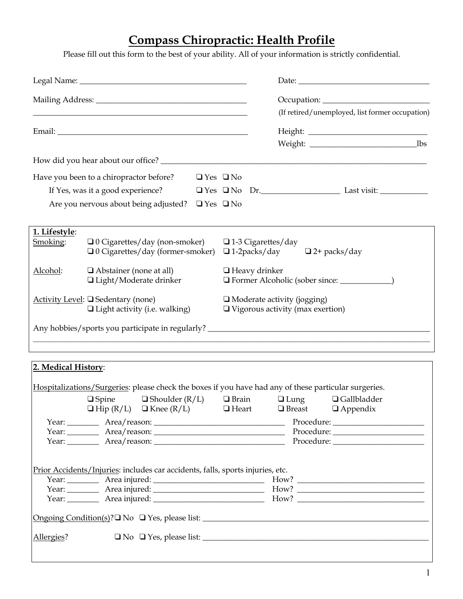# **Compass Chiropractic: Health Profile**

Please fill out this form to the best of your ability. All of your information is strictly confidential.

|                                                                            | <u> 1989 - Jan James James James James James James James James James James James James James James James James J</u> |                                                                          |                           |                     | (If retired/unemployed, list former occupation) |  |
|----------------------------------------------------------------------------|----------------------------------------------------------------------------------------------------------------------|--------------------------------------------------------------------------|---------------------------|---------------------|-------------------------------------------------|--|
|                                                                            |                                                                                                                      |                                                                          |                           |                     |                                                 |  |
|                                                                            |                                                                                                                      |                                                                          |                           |                     |                                                 |  |
|                                                                            |                                                                                                                      |                                                                          |                           |                     |                                                 |  |
|                                                                            | Have you been to a chiropractor before?                                                                              | $\Box$ Yes $\Box$ No                                                     |                           |                     |                                                 |  |
|                                                                            | If Yes, was it a good experience?                                                                                    |                                                                          |                           |                     |                                                 |  |
|                                                                            | Are you nervous about being adjusted?                                                                                | $\Box$ Yes $\Box$ No                                                     |                           |                     |                                                 |  |
| 1. Lifestyle:                                                              |                                                                                                                      |                                                                          |                           |                     |                                                 |  |
| Smoking:                                                                   | $\Box$ 0 Cigarettes/day (non-smoker)<br>$\Box$ 0 Cigarettes/day (former-smoker)                                      |                                                                          | $\Box$ 1-3 Cigarettes/day | $\Box$ 1-2packs/day | $\Box$ 2+ packs/day                             |  |
| Alcohol:                                                                   | $\Box$ Abstainer (none at all)<br>$\Box$ Light/Moderate drinker                                                      |                                                                          | $\Box$ Heavy drinker      |                     |                                                 |  |
| Activity Level: □ Sedentary (none)<br>$\Box$ Light activity (i.e. walking) |                                                                                                                      | □ Moderate activity (jogging)<br>$\Box$ Vigorous activity (max exertion) |                           |                     |                                                 |  |
|                                                                            | Any hobbies/sports you participate in regularly? ________________________________                                    |                                                                          |                           |                     |                                                 |  |
|                                                                            | ,我们也不会有什么。""我们的人,我们也不会有什么?""我们的人,我们也不会有什么?""我们的人,我们也不会有什么?""我们的人,我们也不会有什么?""我们的人                                     |                                                                          |                           |                     |                                                 |  |
| 2. Medical History:                                                        |                                                                                                                      |                                                                          |                           |                     |                                                 |  |
|                                                                            | Hospitalizations/Surgeries: please check the boxes if you have had any of these particular surgeries.                |                                                                          | $\Box$ Brain              |                     | $\Box$ Gallbladder                              |  |
|                                                                            | $\square$ Spine<br>$\Box$ Shoulder (R/L)<br>$\Box$ Hip (R/L) $\Box$ Knee (R/L)                                       |                                                                          | $\Box$ Heart              | $\Box$ Lung         | $\Box$ Breast $\Box$ Appendix                   |  |
|                                                                            |                                                                                                                      |                                                                          |                           |                     |                                                 |  |
|                                                                            |                                                                                                                      |                                                                          |                           |                     |                                                 |  |
|                                                                            |                                                                                                                      |                                                                          |                           |                     |                                                 |  |
|                                                                            | Prior Accidents/Injuries: includes car accidents, falls, sports injuries, etc.                                       |                                                                          |                           |                     |                                                 |  |
|                                                                            |                                                                                                                      |                                                                          |                           |                     |                                                 |  |
|                                                                            |                                                                                                                      |                                                                          |                           |                     |                                                 |  |
|                                                                            |                                                                                                                      |                                                                          |                           |                     |                                                 |  |
|                                                                            |                                                                                                                      |                                                                          |                           |                     |                                                 |  |
| Allergies?                                                                 |                                                                                                                      |                                                                          |                           |                     |                                                 |  |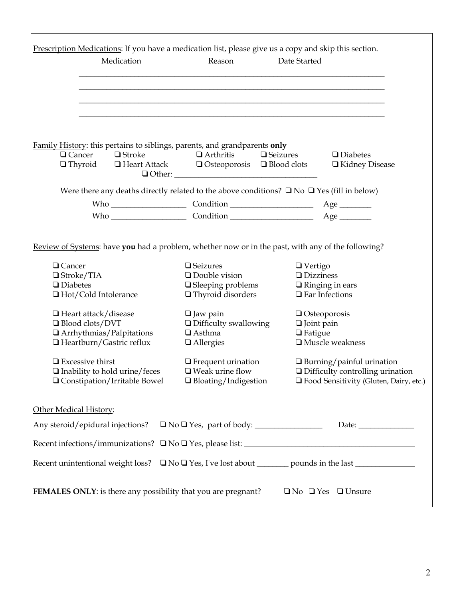|                                                                                                                                                                                       | Reason                                                                                                                                       | Date Started                                                                                                                               |
|---------------------------------------------------------------------------------------------------------------------------------------------------------------------------------------|----------------------------------------------------------------------------------------------------------------------------------------------|--------------------------------------------------------------------------------------------------------------------------------------------|
| Family History: this pertains to siblings, parents, and grandparents only<br>$\Box$ Cancer $\Box$ Stroke<br>$\Box$ Thyroid $\Box$ Heart Attack $\Box$ Osteoporosis $\Box$ Blood clots | $\Box$ Arthritis<br>$\Box$ Seizures                                                                                                          | $\Box$ Diabetes<br>□ Kidney Disease                                                                                                        |
| Were there any deaths directly related to the above conditions? $\square$ No $\square$ Yes (fill in below)                                                                            |                                                                                                                                              |                                                                                                                                            |
|                                                                                                                                                                                       |                                                                                                                                              |                                                                                                                                            |
| $\Box$ Diabetes<br>□ Hot/Cold Intolerance<br>$\Box$ Heart attack/disease<br>□ Blood clots/DVT<br>$\Box$ Arrhythmias/Palpitations<br>$\Box$ Heartburn/Gastric reflux                   | $\Box$ Sleeping problems<br>$\Box$ Thyroid disorders<br>$\Box$ Jaw pain<br>$\Box$ Difficulty swallowing<br>$\Box$ Asthma<br>$\Box$ Allergies | $\Box$ Ringing in ears<br>$\Box$ Ear Infections<br>$\Box$ Osteoporosis<br>$\Box$ Joint pain<br>$\Box$ Fatigue<br>$\square$ Muscle weakness |
| $\Box$ Excessive thirst<br>$\Box$ Inability to hold urine/feces<br>$\Box$ Constipation/Irritable Bowel                                                                                | $\Box$ Frequent urination<br>$\Box$ Weak urine flow<br>$\Box$ Bloating/Indigestion                                                           | $\Box$ Burning/painful urination<br>$\Box$ Difficulty controlling urination<br>□ Food Sensitivity (Gluten, Dairy, etc.)                    |
| Other Medical History:                                                                                                                                                                |                                                                                                                                              |                                                                                                                                            |
| Any steroid/epidural injections?                                                                                                                                                      |                                                                                                                                              |                                                                                                                                            |
|                                                                                                                                                                                       |                                                                                                                                              |                                                                                                                                            |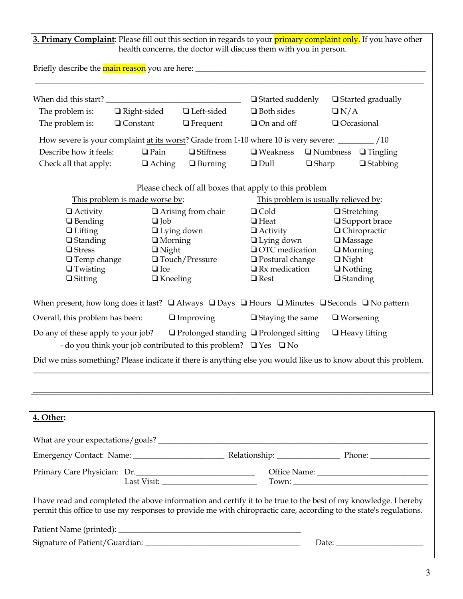| 3. Primary Complaint: Please fill out this section in regards to your primary complaint only. If you have other                                                                                                                       |                                      |                              |                                                                           |                                      |                          |
|---------------------------------------------------------------------------------------------------------------------------------------------------------------------------------------------------------------------------------------|--------------------------------------|------------------------------|---------------------------------------------------------------------------|--------------------------------------|--------------------------|
|                                                                                                                                                                                                                                       |                                      |                              | health concerns, the doctor will discuss them with you in person.         |                                      |                          |
|                                                                                                                                                                                                                                       |                                      |                              |                                                                           |                                      |                          |
|                                                                                                                                                                                                                                       |                                      |                              |                                                                           |                                      |                          |
|                                                                                                                                                                                                                                       |                                      |                              | $\Box$ Started suddenly                                                   |                                      | $\Box$ Started gradually |
| The problem is:                                                                                                                                                                                                                       | $\Box$ Right-sided $\Box$ Left-sided |                              | $\Box$ Both sides                                                         | $\Box N/A$                           |                          |
| The problem is:                                                                                                                                                                                                                       | $\Box$ Constant                      | $\Box$ Frequent              | $\Box$ On and off                                                         |                                      | Occasional               |
|                                                                                                                                                                                                                                       |                                      |                              |                                                                           |                                      |                          |
| Describe how it feels:                                                                                                                                                                                                                | $\Box$ Pain                          | □ Stiffness                  | $\Box$ Weakness $\Box$ Numbness $\Box$ Tingling                           |                                      |                          |
| Check all that apply:                                                                                                                                                                                                                 | $\Box$ Aching                        | $\Box$ Burning               | $\Box$ Dull                                                               | $\Box$ Sharp                         | $\Box$ Stabbing          |
|                                                                                                                                                                                                                                       |                                      |                              | Please check off all boxes that apply to this problem                     |                                      |                          |
|                                                                                                                                                                                                                                       | This problem is made worse by:       |                              |                                                                           | This problem is usually relieved by: |                          |
| $\Box$ Activity                                                                                                                                                                                                                       |                                      | $\Box$<br>Arising from chair | $\Box$ Cold                                                               |                                      | $\Box$ Stretching        |
| $\Box$ Bending                                                                                                                                                                                                                        | $\Box$ Job                           |                              | $\Box$ Heat                                                               |                                      | □ Support brace          |
| $\Box$ Lifting                                                                                                                                                                                                                        |                                      | $\Box$ Lying down            | $\Box$ Activity                                                           |                                      | $\Box$ Chiropractic      |
| $\Box$ Standing                                                                                                                                                                                                                       | $\Box$ Morning                       |                              | $\Box$ Lying down                                                         | $\square$ Massage                    |                          |
| <b>□</b> Stress                                                                                                                                                                                                                       | $\Box$ Night                         |                              | <b>Q</b> OTC medication                                                   | $\Box$ Morning                       |                          |
| $\Box$ Temp change<br>$\Box$ Twisting                                                                                                                                                                                                 | $\Box$ Ice                           | $\Box$ Touch/Pressure        | $\Box$ Postural change<br>$\Box$ Rx medication                            | $\Box$ Night<br>$\Box$ Nothing       |                          |
| $\Box$ Sitting                                                                                                                                                                                                                        | $\Box$ Kneeling                      |                              | $\Box$ Rest                                                               | $\Box$ Standing                      |                          |
| When present, how long does it last? $\Box$ Always $\Box$ Days $\Box$ Hours $\Box$ Minutes $\Box$ Seconds $\Box$ No pattern<br>Overall, this problem has been:                                                                        |                                      | $\Box$ Improving             | $\Box$ Staying the same                                                   |                                      | $\Box$ Worsening         |
| Do any of these apply to your job? $\Box$ Prolonged standing $\Box$ Prolonged sitting                                                                                                                                                 |                                      |                              |                                                                           |                                      | $\Box$ Heavy lifting     |
|                                                                                                                                                                                                                                       |                                      |                              | - do you think your job contributed to this problem? $\Box$ Yes $\Box$ No |                                      |                          |
| Did we miss something? Please indicate if there is anything else you would like us to know about this problem.                                                                                                                        |                                      |                              |                                                                           |                                      |                          |
|                                                                                                                                                                                                                                       |                                      |                              |                                                                           |                                      |                          |
|                                                                                                                                                                                                                                       |                                      |                              |                                                                           |                                      |                          |
|                                                                                                                                                                                                                                       |                                      |                              |                                                                           |                                      |                          |
| <u>4. Other:</u>                                                                                                                                                                                                                      |                                      |                              |                                                                           |                                      |                          |
|                                                                                                                                                                                                                                       |                                      |                              |                                                                           |                                      |                          |
|                                                                                                                                                                                                                                       |                                      |                              |                                                                           |                                      |                          |
| Primary Care Physician: Dr.                                                                                                                                                                                                           |                                      |                              |                                                                           |                                      |                          |
|                                                                                                                                                                                                                                       |                                      |                              |                                                                           |                                      |                          |
| I have read and completed the above information and certify it to be true to the best of my knowledge. I hereby<br>permit this office to use my responses to provide me with chiropractic care, according to the state's regulations. |                                      |                              |                                                                           |                                      |                          |
|                                                                                                                                                                                                                                       |                                      |                              |                                                                           |                                      |                          |
|                                                                                                                                                                                                                                       |                                      |                              |                                                                           |                                      |                          |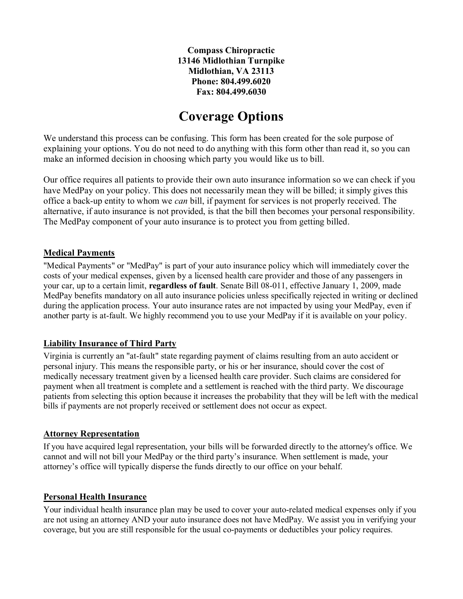## **Coverage Options**

We understand this process can be confusing. This form has been created for the sole purpose of explaining your options. You do not need to do anything with this form other than read it, so you can make an informed decision in choosing which party you would like us to bill.

Our office requires all patients to provide their own auto insurance information so we can check if you have MedPay on your policy. This does not necessarily mean they will be billed; it simply gives this office a back-up entity to whom we *can* bill, if payment for services is not properly received. The alternative, if auto insurance is not provided, is that the bill then becomes your personal responsibility. The MedPay component of your auto insurance is to protect you from getting billed.

#### **Medical Payments**

"Medical Payments" or "MedPay" is part of your auto insurance policy which will immediately cover the costs of your medical expenses, given by a licensed health care provider and those of any passengers in your car, up to a certain limit, **regardless of fault**. Senate Bill 08-011, effective January 1, 2009, made MedPay benefits mandatory on all auto insurance policies unless specifically rejected in writing or declined during the application process. Your auto insurance rates are not impacted by using your MedPay, even if another party is at-fault. We highly recommend you to use your MedPay if it is available on your policy.

#### **Liability Insurance of Third Party**

Virginia is currently an "at-fault" state regarding payment of claims resulting from an auto accident or personal injury. This means the responsible party, or his or her insurance, should cover the cost of medically necessary treatment given by a licensed health care provider. Such claims are considered for payment when all treatment is complete and a settlement is reached with the third party. We discourage patients from selecting this option because it increases the probability that they will be left with the medical bills if payments are not properly received or settlement does not occur as expect.

#### **Attorney Representation**

If you have acquired legal representation, your bills will be forwarded directly to the attorney's office. We cannot and will not bill your MedPay or the third party's insurance. When settlement is made, your attorney's office will typically disperse the funds directly to our office on your behalf.

#### **Personal Health Insurance**

Your individual health insurance plan may be used to cover your auto-related medical expenses only if you are not using an attorney AND your auto insurance does not have MedPay. We assist you in verifying your coverage, but you are still responsible for the usual co-payments or deductibles your policy requires.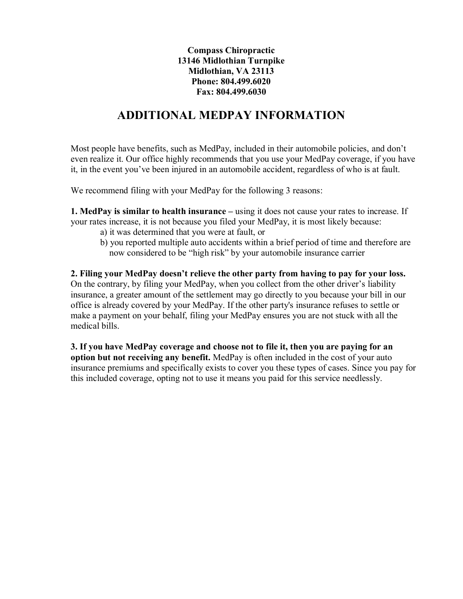### **ADDITIONAL MEDPAY INFORMATION**

Most people have benefits, such as MedPay, included in their automobile policies, and don't even realize it. Our office highly recommends that you use your MedPay coverage, if you have it, in the event you've been injured in an automobile accident, regardless of who is at fault.

We recommend filing with your MedPay for the following 3 reasons:

**1. MedPay is similar to health insurance** – using it does not cause your rates to increase. If your rates increase, it is not because you filed your MedPay, it is most likely because:

- a) it was determined that you were at fault, or
- b) you reported multiple auto accidents within a brief period of time and therefore are now considered to be "high risk" by your automobile insurance carrier

**2. Filing your MedPay doesn't relieve the other party from having to pay for your loss.** On the contrary, by filing your MedPay, when you collect from the other driver's liability insurance, a greater amount of the settlement may go directly to you because your bill in our office is already covered by your MedPay. If the other party's insurance refuses to settle or make a payment on your behalf, filing your MedPay ensures you are not stuck with all the medical bills.

**3. If you have MedPay coverage and choose not to file it, then you are paying for an option but not receiving any benefit.** MedPay is often included in the cost of your auto insurance premiums and specifically exists to cover you these types of cases. Since you pay for this included coverage, opting not to use it means you paid for this service needlessly.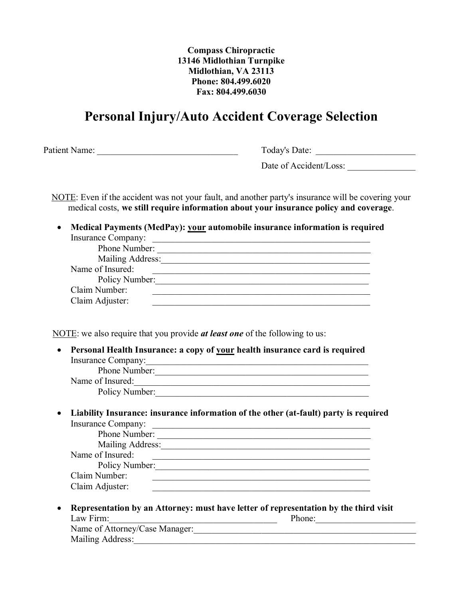## **Personal Injury/Auto Accident Coverage Selection**

Patient Name: Today's Date:

Date of Accident/Loss:

NOTE: Even if the accident was not your fault, and another party's insurance will be covering your medical costs, **we still require information about your insurance policy and coverage**.

• **Medical Payments (MedPay): your automobile insurance information is required** Insurance Company: \_\_\_\_\_\_\_\_\_\_\_\_\_\_\_\_\_\_\_\_\_\_\_\_\_\_\_\_\_\_\_\_\_\_\_\_\_\_\_\_\_\_\_\_\_\_\_\_

| Phone Number:    |  |
|------------------|--|
| Mailing Address: |  |
| Name of Insured: |  |
| Policy Number:   |  |
| Claim Number:    |  |
| Claim Adjuster:  |  |

NOTE: we also require that you provide *at least one* of the following to us:

• **Personal Health Insurance: a copy of your health insurance card is required** Insurance Company:\_\_\_\_\_\_\_\_\_\_\_\_\_\_\_\_\_\_\_\_\_\_\_\_\_\_\_\_\_\_\_\_\_\_\_\_\_\_\_\_\_\_\_\_\_\_\_\_\_ Phone Number: Name of Insured:

Policy Number:

• **Liability Insurance: insurance information of the other (at-fault) party is required** Insurance Company:

| Phone Number:    |  |
|------------------|--|
| Mailing Address: |  |
| Name of Insured: |  |
| Policy Number:   |  |
| Claim Number:    |  |
| Claim Adjuster:  |  |

• **Representation by an Attorney: must have letter of representation by the third visit** Law Firm:\_\_\_\_\_\_\_\_\_\_\_\_\_\_\_\_\_\_\_\_\_\_\_\_\_\_\_\_\_\_\_\_\_\_\_\_\_ Phone:\_\_\_\_\_\_\_\_\_\_\_\_\_\_\_\_\_\_\_\_\_\_

| Name of Attorney/Case Manager: |  |
|--------------------------------|--|
| <b>Mailing Address:</b>        |  |